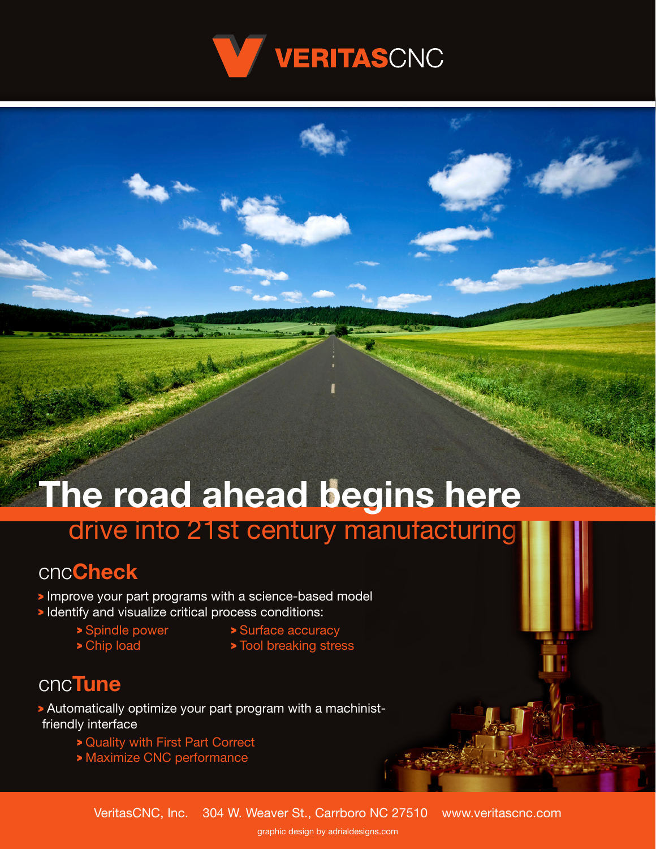

# **The road ahead begins here** drive into 21st century manufacturing

### cnc**Check**

- Improve your part programs with a science-based model
- Identify and visualize critical process conditions:
	-
	-
	- > Spindle power > Surface accuracy
	- > Chip load > Tool breaking stress

#### cnc**Tune**

- Automatically optimize your part program with a machinist friendly interface
	- Quality with First Part Correct
	- Maximize CNC performance

graphic design by adrialdesigns.com